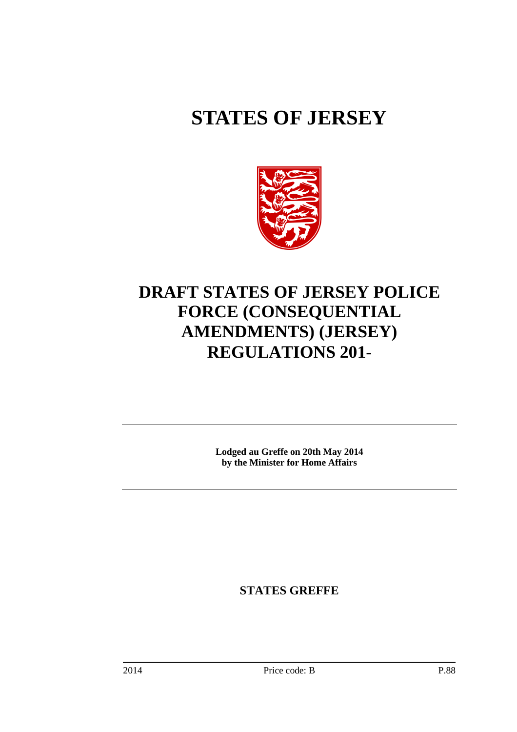# **STATES OF JERSEY**



# **DRAFT STATES OF JERSEY POLICE FORCE (CONSEQUENTIAL AMENDMENTS) (JERSEY) REGULATIONS 201-**

**Lodged au Greffe on 20th May 2014 by the Minister for Home Affairs** 

**STATES GREFFE**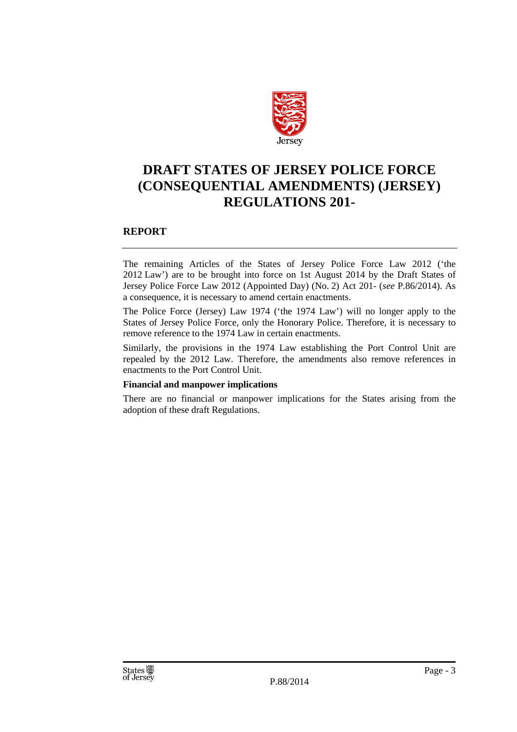

# **DRAFT STATES OF JERSEY POLICE FORCE (CONSEQUENTIAL AMENDMENTS) (JERSEY) REGULATIONS 201-**

## **REPORT**

The remaining Articles of the States of Jersey Police Force Law 2012 ('the 2012 Law') are to be brought into force on 1st August 2014 by the Draft States of Jersey Police Force Law 2012 (Appointed Day) (No. 2) Act 201- (*see* P.86/2014). As a consequence, it is necessary to amend certain enactments.

The Police Force (Jersey) Law 1974 ('the 1974 Law') will no longer apply to the States of Jersey Police Force, only the Honorary Police. Therefore, it is necessary to remove reference to the 1974 Law in certain enactments.

Similarly, the provisions in the 1974 Law establishing the Port Control Unit are repealed by the 2012 Law. Therefore, the amendments also remove references in enactments to the Port Control Unit.

#### **Financial and manpower implications**

There are no financial or manpower implications for the States arising from the adoption of these draft Regulations.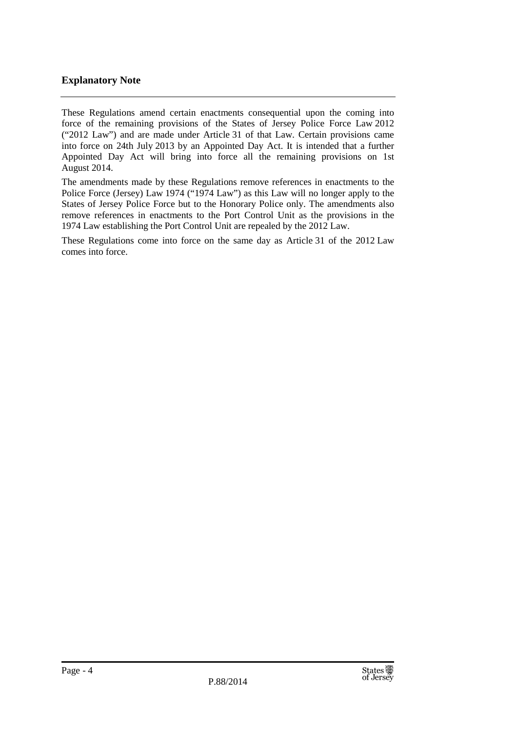# **Explanatory Note**

These Regulations amend certain enactments consequential upon the coming into force of the remaining provisions of the States of Jersey Police Force Law 2012 ("2012 Law") and are made under Article 31 of that Law. Certain provisions came into force on 24th July 2013 by an Appointed Day Act. It is intended that a further Appointed Day Act will bring into force all the remaining provisions on 1st August 2014.

The amendments made by these Regulations remove references in enactments to the Police Force (Jersey) Law 1974 ("1974 Law") as this Law will no longer apply to the States of Jersey Police Force but to the Honorary Police only. The amendments also remove references in enactments to the Port Control Unit as the provisions in the 1974 Law establishing the Port Control Unit are repealed by the 2012 Law.

These Regulations come into force on the same day as Article 31 of the 2012 Law comes into force.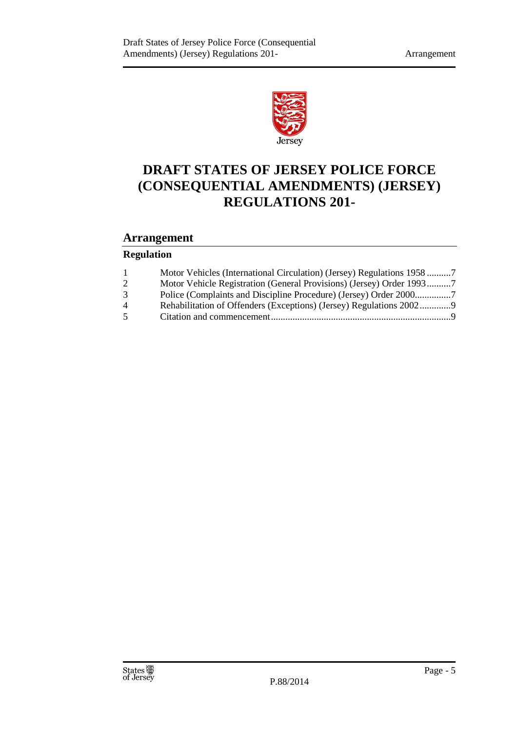

# **DRAFT STATES OF JERSEY POLICE FORCE (CONSEQUENTIAL AMENDMENTS) (JERSEY) REGULATIONS 201-**

# **Arrangement**

# **Regulation**

| 1              | Motor Vehicles (International Circulation) (Jersey) Regulations 19587 |  |
|----------------|-----------------------------------------------------------------------|--|
| $\overline{2}$ | Motor Vehicle Registration (General Provisions) (Jersey) Order 19937  |  |
| 3              |                                                                       |  |
| 4              | Rehabilitation of Offenders (Exceptions) (Jersey) Regulations 20029   |  |
| 5              |                                                                       |  |
|                |                                                                       |  |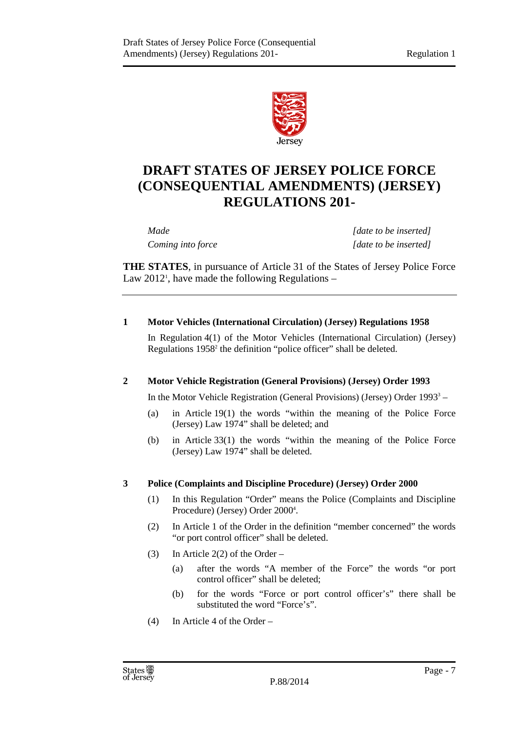

# **DRAFT STATES OF JERSEY POLICE FORCE (CONSEQUENTIAL AMENDMENTS) (JERSEY) REGULATIONS 201-**

*Made [date to be inserted] Coming into force* [date to be inserted]

**THE STATES**, in pursuance of Article 31 of the States of Jersey Police Force Law 2012<sup>1</sup>, have made the following Regulations  $-$ 

## **1 Motor Vehicles (International Circulation) (Jersey) Regulations 1958**

In Regulation 4(1) of the Motor Vehicles (International Circulation) (Jersey) Regulations 1958<sup>2</sup> the definition "police officer" shall be deleted.

## **2 Motor Vehicle Registration (General Provisions) (Jersey) Order 1993**

In the Motor Vehicle Registration (General Provisions) (Jersey) Order  $1993<sup>3</sup> -$ 

- (a) in Article 19(1) the words "within the meaning of the Police Force (Jersey) Law 1974" shall be deleted; and
- (b) in Article 33(1) the words "within the meaning of the Police Force (Jersey) Law 1974" shall be deleted.

## **3 Police (Complaints and Discipline Procedure) (Jersey) Order 2000**

- (1) In this Regulation "Order" means the Police (Complaints and Discipline Procedure) (Jersey) Order 2000<sup>4</sup>.
- (2) In Article 1 of the Order in the definition "member concerned" the words "or port control officer" shall be deleted.
- (3) In Article 2(2) of the Order
	- (a) after the words "A member of the Force" the words "or port control officer" shall be deleted;
	- (b) for the words "Force or port control officer's" there shall be substituted the word "Force's".
- (4) In Article 4 of the Order –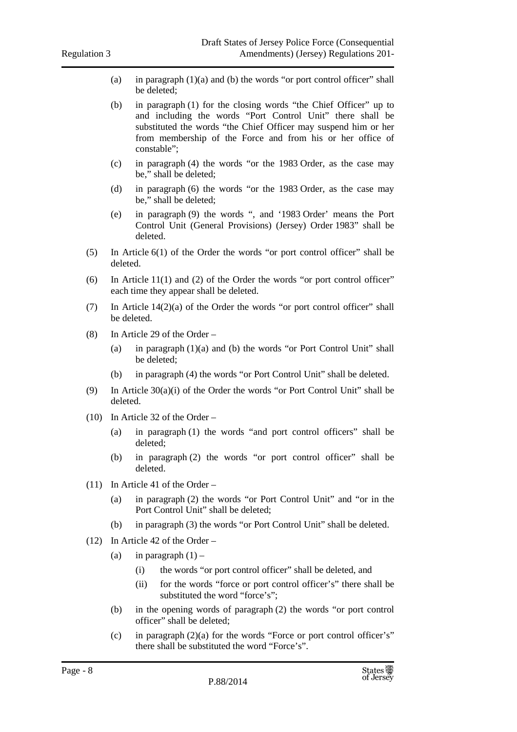- (a) in paragraph  $(1)(a)$  and  $(b)$  the words "or port control officer" shall be deleted;
- (b) in paragraph (1) for the closing words "the Chief Officer" up to and including the words "Port Control Unit" there shall be substituted the words "the Chief Officer may suspend him or her from membership of the Force and from his or her office of constable";
- (c) in paragraph (4) the words "or the 1983 Order, as the case may be," shall be deleted;
- (d) in paragraph (6) the words "or the 1983 Order, as the case may be," shall be deleted;
- (e) in paragraph (9) the words ", and '1983 Order' means the Port Control Unit (General Provisions) (Jersey) Order 1983" shall be deleted.
- (5) In Article 6(1) of the Order the words "or port control officer" shall be deleted.
- (6) In Article 11(1) and (2) of the Order the words "or port control officer" each time they appear shall be deleted.
- (7) In Article 14(2)(a) of the Order the words "or port control officer" shall be deleted.
- $(8)$  In Article 29 of the Order
	- (a) in paragraph (1)(a) and (b) the words "or Port Control Unit" shall be deleted;
	- (b) in paragraph (4) the words "or Port Control Unit" shall be deleted.
- (9) In Article 30(a)(i) of the Order the words "or Port Control Unit" shall be deleted.
- (10) In Article 32 of the Order
	- (a) in paragraph (1) the words "and port control officers" shall be deleted;
	- (b) in paragraph (2) the words "or port control officer" shall be deleted.
- (11) In Article 41 of the Order
	- (a) in paragraph (2) the words "or Port Control Unit" and "or in the Port Control Unit" shall be deleted;
	- (b) in paragraph (3) the words "or Port Control Unit" shall be deleted.
- (12) In Article 42 of the Order
	- (a) in paragraph  $(1)$ 
		- (i) the words "or port control officer" shall be deleted, and
		- (ii) for the words "force or port control officer's" there shall be substituted the word "force's":
	- (b) in the opening words of paragraph (2) the words "or port control officer" shall be deleted;
	- (c) in paragraph  $(2)(a)$  for the words "Force or port control officer's" there shall be substituted the word "Force's".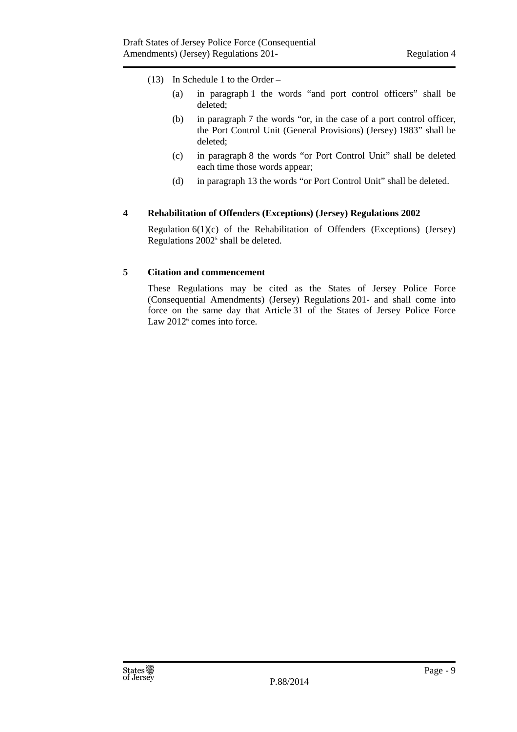- (13) In Schedule 1 to the Order
	- (a) in paragraph 1 the words "and port control officers" shall be deleted;
	- (b) in paragraph 7 the words "or, in the case of a port control officer, the Port Control Unit (General Provisions) (Jersey) 1983" shall be deleted;
	- (c) in paragraph 8 the words "or Port Control Unit" shall be deleted each time those words appear;
	- (d) in paragraph 13 the words "or Port Control Unit" shall be deleted.

## **4 Rehabilitation of Offenders (Exceptions) (Jersey) Regulations 2002**

Regulation  $6(1)(c)$  of the Rehabilitation of Offenders (Exceptions) (Jersey) Regulations 2002<sup>5</sup> shall be deleted.

#### **5 Citation and commencement**

These Regulations may be cited as the States of Jersey Police Force (Consequential Amendments) (Jersey) Regulations 201- and shall come into force on the same day that Article 31 of the States of Jersey Police Force Law 2012<sup>6</sup> comes into force.